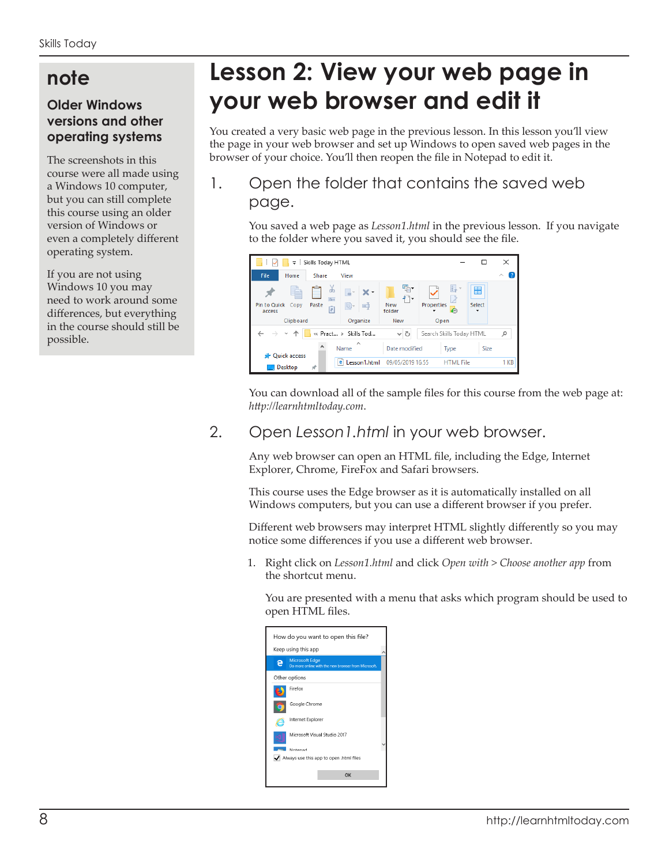# **note**

#### **Older Windows versions and other operating systems**

The screenshots in this course were all made using a Windows 10 computer, but you can still complete this course using an older version of Windows or even a completely different operating system.

If you are not using Windows 10 you may need to work around some differences, but everything in the course should still be possible.

# **Lesson 2: View your web page in your web browser and edit it**

You created a very basic web page in the previous lesson. In this lesson you'll view the page in your web browser and set up Windows to open saved web pages in the browser of your choice. You'll then reopen the file in Notepad to edit it.

## 1. Open the folder that contains the saved web page.

You saved a web page as *Lesson1.html* in the previous lesson. If you navigate to the folder where you saved it, you should see the file.



You can download all of the sample files for this course from the web page at: *http://learnhtmltoday.com*.

### 2. Open *Lesson1.html* in your web browser.

Any web browser can open an HTML file, including the Edge, Internet Explorer, Chrome, FireFox and Safari browsers.

This course uses the Edge browser as it is automatically installed on all Windows computers, but you can use a different browser if you prefer.

Different web browsers may interpret HTML slightly differently so you may notice some differences if you use a different web browser.

1. Right click on *Lesson1.html* and click *Open with > Choose another app* from the shortcut menu.

You are presented with a menu that asks which program should be used to open HTML files.